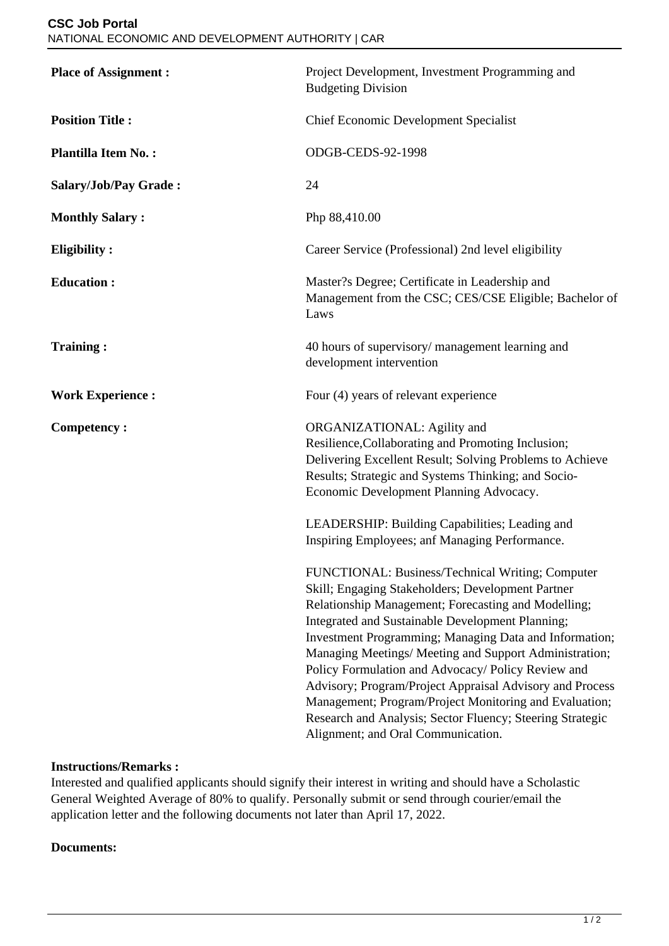| <b>Place of Assignment:</b> | Project Development, Investment Programming and<br><b>Budgeting Division</b>                                                                                                                                                                                                                                                                                                                                                                                                                                                                                                                                        |
|-----------------------------|---------------------------------------------------------------------------------------------------------------------------------------------------------------------------------------------------------------------------------------------------------------------------------------------------------------------------------------------------------------------------------------------------------------------------------------------------------------------------------------------------------------------------------------------------------------------------------------------------------------------|
| <b>Position Title:</b>      | <b>Chief Economic Development Specialist</b>                                                                                                                                                                                                                                                                                                                                                                                                                                                                                                                                                                        |
| <b>Plantilla Item No.:</b>  | ODGB-CEDS-92-1998                                                                                                                                                                                                                                                                                                                                                                                                                                                                                                                                                                                                   |
| Salary/Job/Pay Grade:       | 24                                                                                                                                                                                                                                                                                                                                                                                                                                                                                                                                                                                                                  |
| <b>Monthly Salary:</b>      | Php 88,410.00                                                                                                                                                                                                                                                                                                                                                                                                                                                                                                                                                                                                       |
| <b>Eligibility:</b>         | Career Service (Professional) 2nd level eligibility                                                                                                                                                                                                                                                                                                                                                                                                                                                                                                                                                                 |
| <b>Education:</b>           | Master?s Degree; Certificate in Leadership and<br>Management from the CSC; CES/CSE Eligible; Bachelor of<br>Laws                                                                                                                                                                                                                                                                                                                                                                                                                                                                                                    |
| <b>Training:</b>            | 40 hours of supervisory/ management learning and<br>development intervention                                                                                                                                                                                                                                                                                                                                                                                                                                                                                                                                        |
| <b>Work Experience:</b>     | Four (4) years of relevant experience                                                                                                                                                                                                                                                                                                                                                                                                                                                                                                                                                                               |
| <b>Competency:</b>          | ORGANIZATIONAL: Agility and<br>Resilience, Collaborating and Promoting Inclusion;<br>Delivering Excellent Result; Solving Problems to Achieve<br>Results; Strategic and Systems Thinking; and Socio-<br>Economic Development Planning Advocacy.                                                                                                                                                                                                                                                                                                                                                                     |
|                             | LEADERSHIP: Building Capabilities; Leading and<br>Inspiring Employees; anf Managing Performance.                                                                                                                                                                                                                                                                                                                                                                                                                                                                                                                    |
|                             | FUNCTIONAL: Business/Technical Writing; Computer<br>Skill; Engaging Stakeholders; Development Partner<br>Relationship Management; Forecasting and Modelling;<br>Integrated and Sustainable Development Planning;<br>Investment Programming; Managing Data and Information;<br>Managing Meetings/ Meeting and Support Administration;<br>Policy Formulation and Advocacy/ Policy Review and<br>Advisory; Program/Project Appraisal Advisory and Process<br>Management; Program/Project Monitoring and Evaluation;<br>Research and Analysis; Sector Fluency; Steering Strategic<br>Alignment; and Oral Communication. |

## **Instructions/Remarks :**

Interested and qualified applicants should signify their interest in writing and should have a Scholastic General Weighted Average of 80% to qualify. Personally submit or send through courier/email the application letter and the following documents not later than April 17, 2022.

## **Documents:**